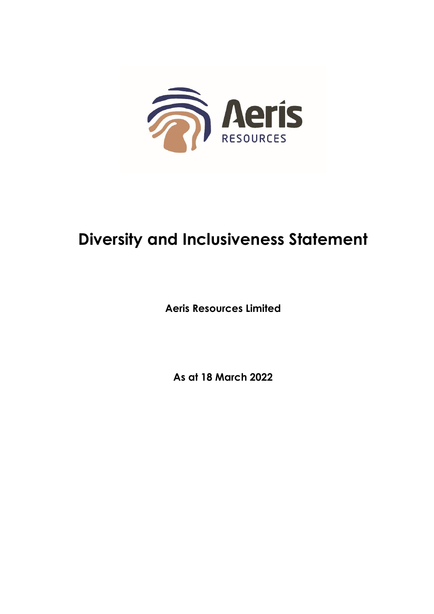

## **Diversity and Inclusiveness Statement**

**Aeris Resources Limited** 

As at 18 March 2022